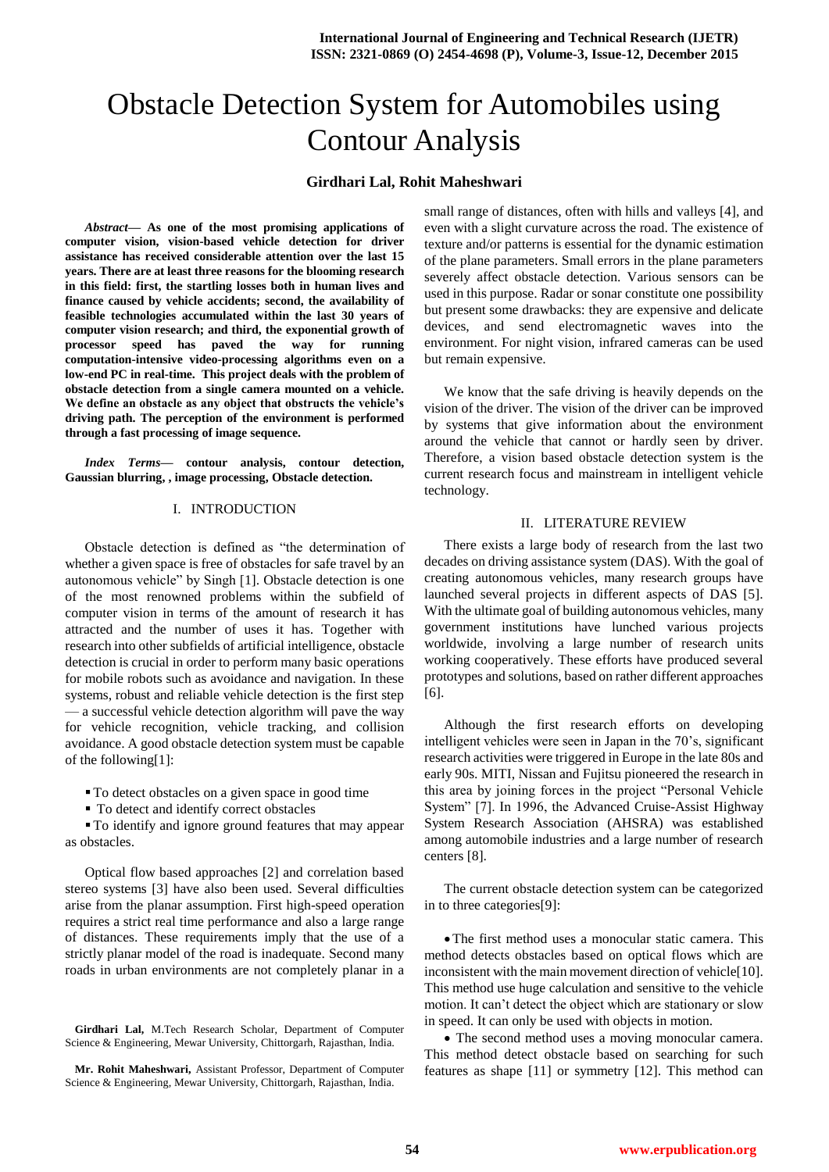# Obstacle Detection System for Automobiles using Contour Analysis

# **Girdhari Lal, Rohit Maheshwari**

*Abstract***— As one of the most promising applications of computer vision, vision-based vehicle detection for driver assistance has received considerable attention over the last 15 years. There are at least three reasons for the blooming research in this field: first, the startling losses both in human lives and finance caused by vehicle accidents; second, the availability of feasible technologies accumulated within the last 30 years of computer vision research; and third, the exponential growth of processor speed has paved the way for running computation-intensive video-processing algorithms even on a low-end PC in real-time. This project deals with the problem of obstacle detection from a single camera mounted on a vehicle. We define an obstacle as any object that obstructs the vehicle's driving path. The perception of the environment is performed through a fast processing of image sequence.**

*Index Terms***— contour analysis, contour detection, Gaussian blurring, , image processing, Obstacle detection.**

## I. INTRODUCTION

Obstacle detection is defined as "the determination of whether a given space is free of obstacles for safe travel by an autonomous vehicle" by Singh [1]. Obstacle detection is one of the most renowned problems within the subfield of computer vision in terms of the amount of research it has attracted and the number of uses it has. Together with research into other subfields of artificial intelligence, obstacle detection is crucial in order to perform many basic operations for mobile robots such as avoidance and navigation. In these systems, robust and reliable vehicle detection is the first step — a successful vehicle detection algorithm will pave the way for vehicle recognition, vehicle tracking, and collision avoidance. A good obstacle detection system must be capable of the following[1]:

 $\blacksquare$  To detect obstacles on a given space in good time

 $\blacksquare$  To detect and identify correct obstacles

To identify and ignore ground features that may appear as obstacles.

Optical flow based approaches [2] and correlation based stereo systems [3] have also been used. Several difficulties arise from the planar assumption. First high-speed operation requires a strict real time performance and also a large range of distances. These requirements imply that the use of a strictly planar model of the road is inadequate. Second many roads in urban environments are not completely planar in a

**Girdhari Lal,** M.Tech Research Scholar, Department of Computer Science & Engineering, Mewar University, Chittorgarh, Rajasthan, India.

**Mr. Rohit Maheshwari,** Assistant Professor, Department of Computer Science & Engineering, Mewar University, Chittorgarh, Rajasthan, India.

small range of distances, often with hills and valleys [4], and even with a slight curvature across the road. The existence of texture and/or patterns is essential for the dynamic estimation of the plane parameters. Small errors in the plane parameters severely affect obstacle detection. Various sensors can be used in this purpose. Radar or sonar constitute one possibility but present some drawbacks: they are expensive and delicate devices, and send electromagnetic waves into the environment. For night vision, infrared cameras can be used but remain expensive.

We know that the safe driving is heavily depends on the vision of the driver. The vision of the driver can be improved by systems that give information about the environment around the vehicle that cannot or hardly seen by driver. Therefore, a vision based obstacle detection system is the current research focus and mainstream in intelligent vehicle technology.

## II. LITERATURE REVIEW

There exists a large body of research from the last two decades on driving assistance system (DAS). With the goal of creating autonomous vehicles, many research groups have launched several projects in different aspects of DAS [5]. With the ultimate goal of building autonomous vehicles, many government institutions have lunched various projects worldwide, involving a large number of research units working cooperatively. These efforts have produced several prototypes and solutions, based on rather different approaches [6].

Although the first research efforts on developing intelligent vehicles were seen in Japan in the 70's, significant research activities were triggered in Europe in the late 80s and early 90s. MITI, Nissan and Fujitsu pioneered the research in this area by joining forces in the project "Personal Vehicle" System" [7]. In 1996, the Advanced Cruise-Assist Highway System Research Association (AHSRA) was established among automobile industries and a large number of research centers [8].

The current obstacle detection system can be categorized in to three categories[9]:

The first method uses a monocular static camera. This method detects obstacles based on optical flows which are inconsistent with the main movement direction of vehicle<sup>[10]</sup>. This method use huge calculation and sensitive to the vehicle motion. It can't detect the object which are stationary or slow in speed. It can only be used with objects in motion.

 The second method uses a moving monocular camera. This method detect obstacle based on searching for such features as shape [11] or symmetry [12]. This method can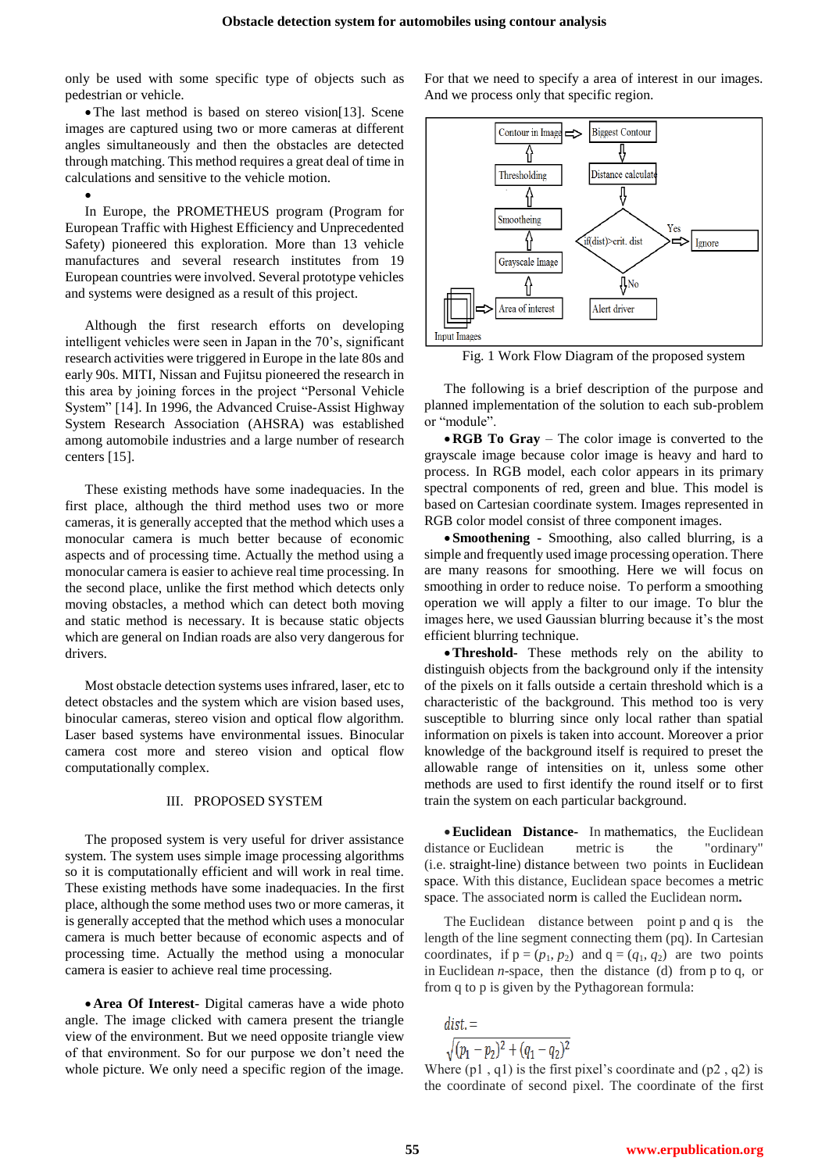only be used with some specific type of objects such as pedestrian or vehicle.

The last method is based on stereo vision[13]. Scene images are captured using two or more cameras at different angles simultaneously and then the obstacles are detected through matching. This method requires a great deal of time in calculations and sensitive to the vehicle motion.

 $\bullet$ 

In Europe, the PROMETHEUS program (Program for European Traffic with Highest Efficiency and Unprecedented Safety) pioneered this exploration. More than 13 vehicle manufactures and several research institutes from 19 European countries were involved. Several prototype vehicles and systems were designed as a result of this project.

Although the first research efforts on developing intelligent vehicles were seen in Japan in the 70's, significant research activities were triggered in Europe in the late 80s and early 90s. MITI, Nissan and Fujitsu pioneered the research in this area by joining forces in the project "Personal Vehicle" System" [14]. In 1996, the Advanced Cruise-Assist Highway System Research Association (AHSRA) was established among automobile industries and a large number of research centers [15].

These existing methods have some inadequacies. In the first place, although the third method uses two or more cameras, it is generally accepted that the method which uses a monocular camera is much better because of economic aspects and of processing time. Actually the method using a monocular camera is easier to achieve real time processing. In the second place, unlike the first method which detects only moving obstacles, a method which can detect both moving and static method is necessary. It is because static objects which are general on Indian roads are also very dangerous for drivers.

Most obstacle detection systems uses infrared, laser, etc to detect obstacles and the system which are vision based uses, binocular cameras, stereo vision and optical flow algorithm. Laser based systems have environmental issues. Binocular camera cost more and stereo vision and optical flow computationally complex.

#### III. PROPOSED SYSTEM

The proposed system is very useful for driver assistance system. The system uses simple image processing algorithms so it is computationally efficient and will work in real time. These existing methods have some inadequacies. In the first place, although the some method uses two or more cameras, it is generally accepted that the method which uses a monocular camera is much better because of economic aspects and of processing time. Actually the method using a monocular camera is easier to achieve real time processing.

**Area Of Interest-** Digital cameras have a wide photo angle. The image clicked with camera present the triangle view of the environment. But we need opposite triangle view of that environment. So for our purpose we don't need the whole picture. We only need a specific region of the image.

For that we need to specify a area of interest in our images. And we process only that specific region.



Fig. 1 Work Flow Diagram of the proposed system

The following is a brief description of the purpose and planned implementation of the solution to each sub-problem or "module".

**RGB To Gray** – The color image is converted to the grayscale image because color image is heavy and hard to process. In RGB model, each color appears in its primary spectral components of red, green and blue. This model is based on Cartesian coordinate system. Images represented in RGB color model consist of three component images.

 **Smoothening -** Smoothing, also called blurring, is a simple and frequently used image processing operation. There are many reasons for smoothing. Here we will focus on smoothing in order to reduce noise. To perform a smoothing operation we will apply a filter to our image. To blur the images here, we used Gaussian blurring because it's the most efficient blurring technique.

**Threshold-** These methods rely on the ability to distinguish objects from the background only if the intensity of the pixels on it falls outside a certain threshold which is a characteristic of the background. This method too is very susceptible to blurring since only local rather than spatial information on pixels is taken into account. Moreover a prior knowledge of the background itself is required to preset the allowable range of intensities on it, unless some other methods are used to first identify the round itself or to first train the system on each particular background.

**Euclidean Distance-** In mathematics, the Euclidean distance or Euclidean metric is the "ordinary" (i.e. straight-line) distance between two points in Euclidean space. With this distance, Euclidean space becomes a metric space. The associated norm is called the Euclidean norm**.**

The Euclidean distance between point p and q is the length of the line segment connecting them (pq). In Cartesian coordinates, if  $p = (p_1, p_2)$  and  $q = (q_1, q_2)$  are two points in Euclidean *n*-space, then the distance (d) from p to q, or from q to p is given by the Pythagorean formula:

dist. =<br> $\sqrt{(p_1 - p_2)^2 + (q_1 - q_2)^2}$ 

Where  $(p1, q1)$  is the first pixel's coordinate and  $(p2, q2)$  is the coordinate of second pixel. The coordinate of the first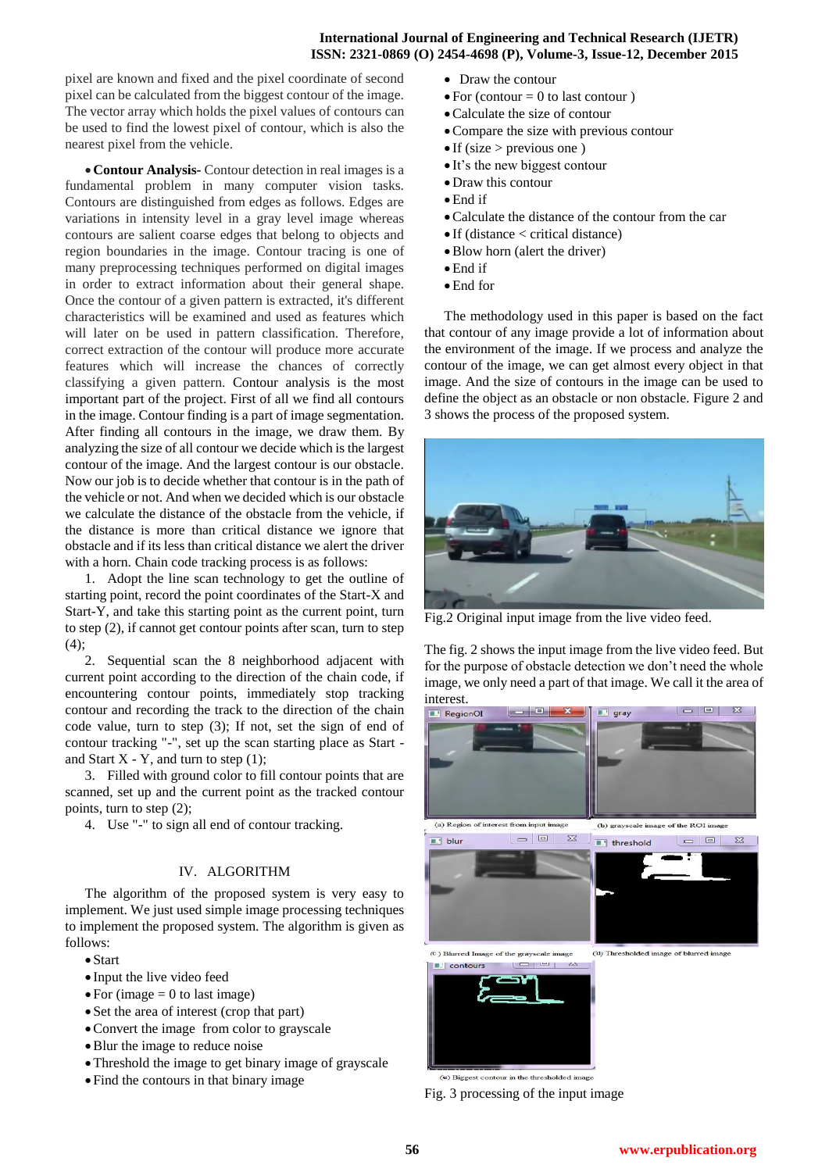# **International Journal of Engineering and Technical Research (IJETR) ISSN: 2321-0869 (O) 2454-4698 (P), Volume-3, Issue-12, December 2015**

pixel are known and fixed and the pixel coordinate of second pixel can be calculated from the biggest contour of the image. The vector array which holds the pixel values of contours can be used to find the lowest pixel of contour, which is also the nearest pixel from the vehicle.

**Contour Analysis-** Contour detection in real images is a fundamental problem in many computer vision tasks. Contours are distinguished from edges as follows. Edges are variations in intensity level in a gray level image whereas contours are salient coarse edges that belong to objects and region boundaries in the image. Contour tracing is one of many preprocessing techniques performed on digital images in order to extract information about their general shape. Once the contour of a given pattern is extracted, it's different characteristics will be examined and used as features which will later on be used in pattern classification. Therefore, correct extraction of the contour will produce more accurate features which will increase the chances of correctly classifying a given pattern. Contour analysis is the most important part of the project. First of all we find all contours in the image. Contour finding is a part of image segmentation. After finding all contours in the image, we draw them. By analyzing the size of all contour we decide which is the largest contour of the image. And the largest contour is our obstacle. Now our job is to decide whether that contour is in the path of the vehicle or not. And when we decided which is our obstacle we calculate the distance of the obstacle from the vehicle, if the distance is more than critical distance we ignore that obstacle and if its less than critical distance we alert the driver with a horn. Chain code tracking process is as follows:

1. Adopt the line scan technology to get the outline of starting point, record the point coordinates of the Start-X and Start-Y, and take this starting point as the current point, turn to step (2), if cannot get contour points after scan, turn to step  $(4)$ ;

2. Sequential scan the 8 neighborhood adjacent with current point according to the direction of the chain code, if encountering contour points, immediately stop tracking contour and recording the track to the direction of the chain code value, turn to step (3); If not, set the sign of end of contour tracking "-", set up the scan starting place as Start and Start  $X - Y$ , and turn to step (1);

3. Filled with ground color to fill contour points that are scanned, set up and the current point as the tracked contour points, turn to step (2);

4. Use "-" to sign all end of contour tracking.

#### IV. ALGORITHM

The algorithm of the proposed system is very easy to implement. We just used simple image processing techniques to implement the proposed system. The algorithm is given as follows:

- Start
- Input the live video feed
- $\bullet$  For (image = 0 to last image)
- Set the area of interest (crop that part)
- Convert the image from color to grayscale
- Blur the image to reduce noise
- Threshold the image to get binary image of grayscale
- Find the contours in that binary image
- Draw the contour
- $\bullet$  For (contour = 0 to last contour)
- Calculate the size of contour
- Compare the size with previous contour
- $\bullet$  If (size > previous one)
- It's the new biggest contour
- Draw this contour
- End if
- Calculate the distance of the contour from the car
- If (distance < critical distance)
- Blow horn (alert the driver)
- End if
- End for

The methodology used in this paper is based on the fact that contour of any image provide a lot of information about the environment of the image. If we process and analyze the contour of the image, we can get almost every object in that image. And the size of contours in the image can be used to define the object as an obstacle or non obstacle. Figure 2 and 3 shows the process of the proposed system.



Fig.2 Original input image from the live video feed.

The fig. 2 shows the input image from the live video feed. But for the purpose of obstacle detection we don't need the whole image, we only need a part of that image. We call it the area of interest.



(e) Biggest contour in the thresholded imag

Fig. 3 processing of the input image

 **56 www.erpublication.org**